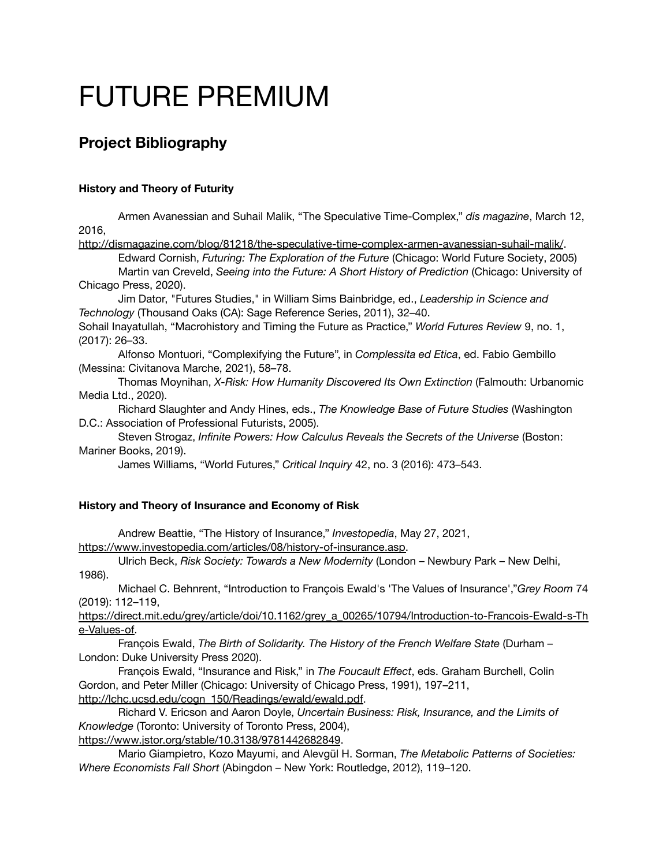# FUTURE PREMIUM

# **Project Bibliography**

## **History and Theory of Futurity**

Armen Avanessian and Suhail Malik, "The Speculative Time-Complex," *dis magazine*, March 12, 2016,

<http://dismagazine.com/blog/81218/the-speculative-time-complex-armen-avanessian-suhail-malik/>.

Edward Cornish, *Futuring: The Exploration of the Future* (Chicago: World Future Society, 2005) Martin van Creveld, *Seeing into the Future: A Short History of Prediction* (Chicago: University of Chicago Press, 2020).

Jim Dator, "Futures Studies," in William Sims Bainbridge, ed., *Leadership in Science and Technology* (Thousand Oaks (CA): Sage Reference Series, 2011), 32–40.

Sohail Inayatullah, "Macrohistory and Timing the Future as Practice," *World Futures Review* 9, no. 1, (2017): 26–33.

Alfonso Montuori, "Complexifying the Future", in *Complessita ed Etica*, ed. Fabio Gembillo (Messina: Civitanova Marche, 2021), 58–78.

Thomas Moynihan, *X-Risk: How Humanity Discovered Its Own Extinction* (Falmouth: Urbanomic Media Ltd., 2020).

Richard Slaughter and Andy Hines, eds., *The Knowledge Base of Future Studies* (Washington D.C.: Association of Professional Futurists, 2005).

Steven Strogaz, *Infinite Powers: How Calculus Reveals the Secrets of the Universe* (Boston: Mariner Books, 2019).

James Williams, "World Futures," *Critical Inquiry* 42, no. 3 (2016): 473–543.

### **History and Theory of Insurance and Economy of Risk**

Andrew Beattie, "The History of Insurance," *Investopedia*, May 27, 2021,

[https://www.investopedia.com/articles/08/history-of-insurance.asp.](https://www.investopedia.com/articles/08/history-of-insurance.asp)

Ulrich Beck, *Risk Society: Towards a New Modernity* (London – Newbury Park – New Delhi, 1986).

Michael C. Behnrent, "Introduction to François Ewald's 'The Values of Insurance',"*Grey Room* 74 (2019): 112–119,

[https://direct.mit.edu/grey/article/doi/10.1162/grey\\_a\\_00265/10794/Introduction-to-Francois-Ewald-s-Th](https://direct.mit.edu/grey/article/doi/10.1162/grey_a_00265/10794/Introduction-to-Francois-Ewald-s-The-Values-of) [e-Values-of.](https://direct.mit.edu/grey/article/doi/10.1162/grey_a_00265/10794/Introduction-to-Francois-Ewald-s-The-Values-of)

François Ewald, *The Birth of Solidarity. The History of the French Welfare State* (Durham – London: Duke University Press 2020).

François Ewald, "Insurance and Risk," in *The Foucault Effect*, eds. Graham Burchell, Colin Gordon, and Peter Miller (Chicago: University of Chicago Press, 1991), 197–211, [http://lchc.ucsd.edu/cogn\\_150/Readings/ewald/ewald.pdf.](http://lchc.ucsd.edu/cogn_150/Readings/ewald/ewald.pdf)

Richard V. Ericson and Aaron Doyle, *Uncertain Business: Risk, Insurance, and the Limits of Knowledge* (Toronto: University of Toronto Press, 2004),

<https://www.jstor.org/stable/10.3138/9781442682849>.

Mario Giampietro, Kozo Mayumi, and Alevgül H. Sorman, *The Metabolic Patterns of Societies: Where Economists Fall Short* (Abingdon – New York: Routledge, 2012), 119–120.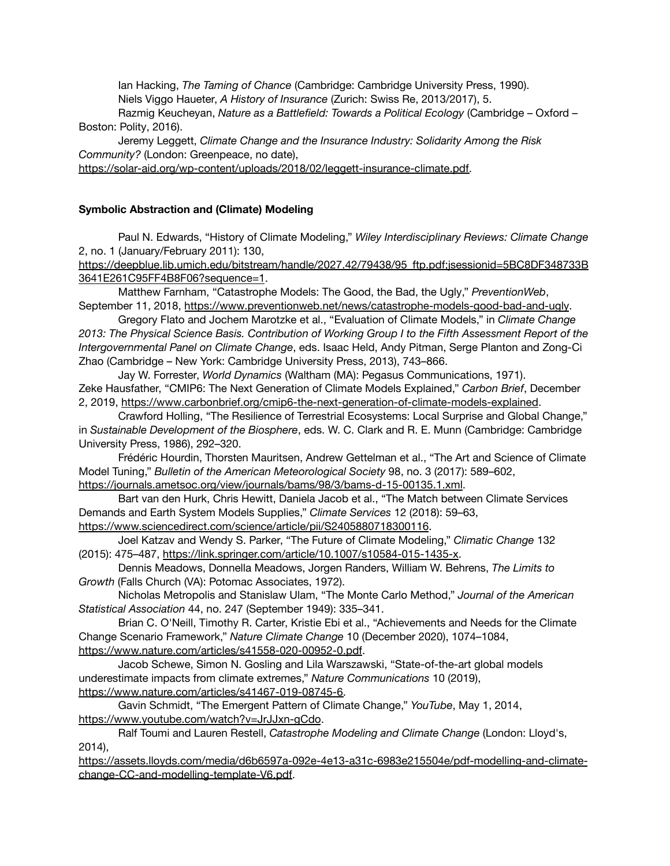Ian Hacking, *The Taming of Chance* (Cambridge: Cambridge University Press, 1990). Niels Viggo Haueter, *A History of Insurance* (Zurich: Swiss Re, 2013/2017), 5.

Razmig Keucheyan, *Nature as a Battlefield: Towards a Political Ecology* (Cambridge – Oxford – Boston: Polity, 2016).

Jeremy Leggett, *Climate Change and the Insurance Industry: Solidarity Among the Risk Community?* (London: Greenpeace, no date),

[https://solar-aid.org/wp-content/uploads/2018/02/leggett-insurance-climate.pdf.](https://solar-aid.org/wp-content/uploads/2018/02/leggett-insurance-climate.pdf)

#### **Symbolic Abstraction and (Climate) Modeling**

Paul N. Edwards, "History of Climate Modeling," *Wiley Interdisciplinary Reviews: Climate Change* 2, no. 1 (January/February 2011): 130,

[https://deepblue.lib.umich.edu/bitstream/handle/2027.42/79438/95\\_ftp.pdf;jsessionid=5BC8DF348733B](https://deepblue.lib.umich.edu/bitstream/handle/2027.42/79438/95_ftp.pdf;jsessionid=5BC8DF348733B3641E261C95FF4B8F06?sequence=1) [3641E261C95FF4B8F06?sequence=1](https://deepblue.lib.umich.edu/bitstream/handle/2027.42/79438/95_ftp.pdf;jsessionid=5BC8DF348733B3641E261C95FF4B8F06?sequence=1).

Matthew Farnham, "Catastrophe Models: The Good, the Bad, the Ugly," *PreventionWeb*, September 11, 2018, <https://www.preventionweb.net/news/catastrophe-models-good-bad-and-ugly>.

Gregory Flato and Jochem Marotzke et al., "Evaluation of Climate Models," in *Climate Change 2013: The Physical Science Basis. Contribution of Working Group I to the Fifth Assessment Report of the Intergovernmental Panel on Climate Change*, eds. Isaac Held, Andy Pitman, Serge Planton and Zong-Ci Zhao (Cambridge – New York: Cambridge University Press, 2013), 743–866.

Jay W. Forrester, *World Dynamics* (Waltham (MA): Pegasus Communications, 1971). Zeke Hausfather, "CMIP6: The Next Generation of Climate Models Explained," *Carbon Brief*, December 2, 2019, <https://www.carbonbrief.org/cmip6-the-next-generation-of-climate-models-explained>.

Crawford Holling, "The Resilience of Terrestrial Ecosystems: Local Surprise and Global Change," in *Sustainable Development of the Biosphere*, eds. W. C. Clark and R. E. Munn (Cambridge: Cambridge University Press, 1986), 292–320.

Frédéric Hourdin, Thorsten Mauritsen, Andrew Gettelman et al., "The Art and Science of Climate Model Tuning," *Bulletin of the American Meteorological Society* 98, no. 3 (2017): 589–602, [https://journals.ametsoc.org/view/journals/bams/98/3/bams-d-15-00135.1.xml.](https://journals.ametsoc.org/view/journals/bams/98/3/bams-d-15-00135.1.xml-)

Bart van den Hurk, Chris Hewitt, Daniela Jacob et al., "The Match between Climate Services Demands and Earth System Models Supplies," *Climate Services* 12 (2018): 59–63, <https://www.sciencedirect.com/science/article/pii/S2405880718300116>.

Joel Katzav and Wendy S. Parker, "The Future of Climate Modeling," *Climatic Change* 132 (2015): 475–487, <https://link.springer.com/article/10.1007/s10584-015-1435-x>.

Dennis Meadows, Donnella Meadows, Jorgen Randers, William W. Behrens, *The Limits to Growth* (Falls Church (VA): Potomac Associates, 1972).

Nicholas Metropolis and Stanislaw Ulam, "The Monte Carlo Method," *Journal of the American Statistical Association* 44, no. 247 (September 1949): 335–341.

Brian C. O'Neill, Timothy R. Carter, Kristie Ebi et al., "Achievements and Needs for the Climate Change Scenario Framework," *Nature Climate Change* 10 (December 2020), 1074–1084, <https://www.nature.com/articles/s41558-020-00952-0.pdf>.

Jacob Schewe, Simon N. Gosling and Lila Warszawski, "State-of-the-art global models underestimate impacts from climate extremes," *Nature Communications* 10 (2019), [https://www.nature.com/articles/s41467-019-08745-6.](https://www.nature.com/articles/s41467-019-08745-6)

Gavin Schmidt, "The Emergent Pattern of Climate Change," *YouTube*, May 1, 2014, <https://www.youtube.com/watch?v=JrJJxn-gCdo>.

Ralf Toumi and Lauren Restell, *Catastrophe Modeling and Climate Change* (London: Lloyd's, 2014),

[https://assets.lloyds.com/media/d6b6597a-092e-4e13-a31c-6983e215504e/pdf-modelling-and-climate](https://assets.lloyds.com/media/d6b6597a-092e-4e13-a31c-6983e215504e/pdf-modelling-and-climate-change-CC-and-modelling-template-V6.pdf)[change-CC-and-modelling-template-V6.pdf](https://assets.lloyds.com/media/d6b6597a-092e-4e13-a31c-6983e215504e/pdf-modelling-and-climate-change-CC-and-modelling-template-V6.pdf).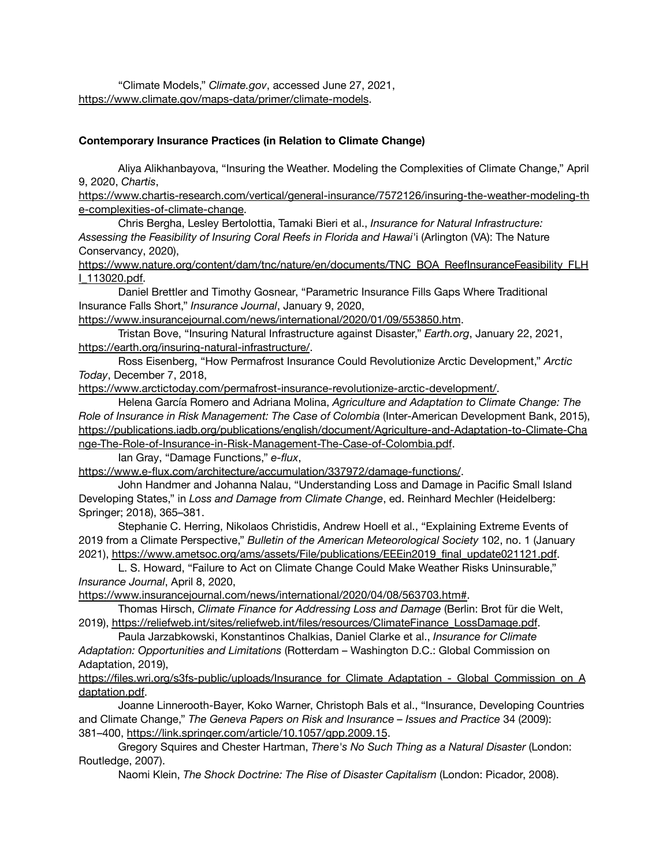"Climate Models," *Climate.gov*, accessed June 27, 2021, <https://www.climate.gov/maps-data/primer/climate-models>.

#### **Contemporary Insurance Practices (in Relation to Climate Change)**

Aliya Alikhanbayova, "Insuring the Weather. Modeling the Complexities of Climate Change," April 9, 2020, *Chartis*,

[https://www.chartis-research.com/vertical/general-insurance/7572126/insuring-the-weather-modeling-th](https://www.chartis-research.com/vertical/general-insurance/7572126/insuring-the-weather-modeling-the-complexities-of-climate-change) [e-complexities-of-climate-change.](https://www.chartis-research.com/vertical/general-insurance/7572126/insuring-the-weather-modeling-the-complexities-of-climate-change)

Chris Bergha, Lesley Bertolottia, Tamaki Bieri et al., *Insurance for Natural Infrastructure: Assessing the Feasibility of Insuring Coral Reefs in Florida and Hawai'*i (Arlington (VA): The Nature Conservancy, 2020),

[https://www.nature.org/content/dam/tnc/nature/en/documents/TNC\\_BOA\\_ReefInsuranceFeasibility\\_FLH](https://www.nature.org/content/dam/tnc/nature/en/documents/TNC_BOA_ReefInsuranceFeasibility_FLHI_113020.pdf) [I\\_113020.pdf.](https://www.nature.org/content/dam/tnc/nature/en/documents/TNC_BOA_ReefInsuranceFeasibility_FLHI_113020.pdf)

Daniel Brettler and Timothy Gosnear, "Parametric Insurance Fills Gaps Where Traditional Insurance Falls Short," *Insurance Journal*, January 9, 2020,

<https://www.insurancejournal.com/news/international/2020/01/09/553850.htm>.

Tristan Bove, "Insuring Natural Infrastructure against Disaster," *Earth.org*, January 22, 2021, <https://earth.org/insuring-natural-infrastructure/>.

Ross Eisenberg, "How Permafrost Insurance Could Revolutionize Arctic Development," *Arctic Today*, December 7, 2018,

[https://www.arctictoday.com/permafrost-insurance-revolutionize-arctic-development/.](https://www.arctictoday.com/permafrost-insurance-revolutionize-arctic-development/)

Helena García Romero and Adriana Molina, *Agriculture and Adaptation to Climate Change: The Role of Insurance in Risk Management: The Case of Colombia* (Inter-American Development Bank, 2015), [https://publications.iadb.org/publications/english/document/Agriculture-and-Adaptation-to-Climate-Cha](https://publications.iadb.org/publications/english/document/Agriculture-and-Adaptation-to-Climate-Change-The-Role-of-Insurance-in-Risk-Management-The-Case-of-Colombia.pdf) [nge-The-Role-of-Insurance-in-Risk-Management-The-Case-of-Colombia.pdf](https://publications.iadb.org/publications/english/document/Agriculture-and-Adaptation-to-Climate-Change-The-Role-of-Insurance-in-Risk-Management-The-Case-of-Colombia.pdf).

Ian Gray, "Damage Functions," *e-flux*,

<https://www.e-flux.com/architecture/accumulation/337972/damage-functions/>.

John Handmer and Johanna Nalau, "Understanding Loss and Damage in Pacific Small Island Developing States," in *Loss and Damage from Climate Change*, ed. Reinhard Mechler (Heidelberg: Springer; 2018), 365–381.

Stephanie C. Herring, Nikolaos Christidis, Andrew Hoell et al., "Explaining Extreme Events of 2019 from a Climate Perspective," *Bulletin of the American Meteorological Society* 102, no. 1 (January 2021), [https://www.ametsoc.org/ams/assets/File/publications/EEEin2019\\_final\\_update021121.pdf](https://www.ametsoc.org/ams/assets/File/publications/EEEin2019_final_update021121.pdf).

L. S. Howard, "Failure to Act on Climate Change Could Make Weather Risks Uninsurable," *Insurance Journal*, April 8, 2020,

[https://www.insurancejournal.com/news/international/2020/04/08/563703.htm#.](https://www.insurancejournal.com/news/international/2020/04/08/563703.htm#)

Thomas Hirsch, *Climate Finance for Addressing Loss and Damage* (Berlin: Brot für die Welt, 2019), [https://reliefweb.int/sites/reliefweb.int/files/resources/ClimateFinance\\_LossDamage.pdf](https://reliefweb.int/sites/reliefweb.int/files/resources/ClimateFinance_LossDamage.pdf).

Paula Jarzabkowski, Konstantinos Chalkias, Daniel Clarke et al., *Insurance for Climate Adaptation: Opportunities and Limitations* (Rotterdam – Washington D.C.: Global Commission on Adaptation, 2019),

[https://files.wri.org/s3fs-public/uploads/Insurance\\_for\\_Climate\\_Adaptation\\_-\\_Global\\_Commission\\_on\\_A](https://files.wri.org/s3fs-public/uploads/Insurance_for_Climate_Adaptation_-_Global_Commission_on_Adaptation.pdf) [daptation.pdf.](https://files.wri.org/s3fs-public/uploads/Insurance_for_Climate_Adaptation_-_Global_Commission_on_Adaptation.pdf)

Joanne Linnerooth-Bayer, Koko Warner, Christoph Bals et al., "Insurance, Developing Countries and Climate Change," *The Geneva Papers on Risk and Insurance – Issues and Practice* 34 (2009): 381–400, <https://link.springer.com/article/10.1057/gpp.2009.15>.

Gregory Squires and Chester Hartman, *There's No Such Thing as a Natural Disaster* (London: Routledge, 2007).

Naomi Klein, *The Shock Doctrine: The Rise of Disaster Capitalism* (London: Picador, 2008).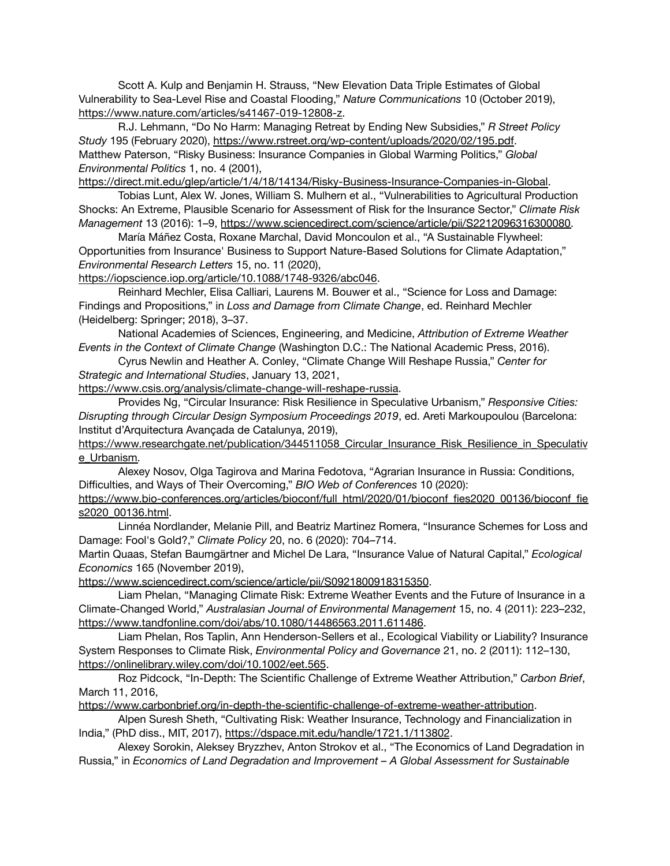Scott A. Kulp and Benjamin H. Strauss, "New Elevation Data Triple Estimates of Global Vulnerability to Sea-Level Rise and Coastal Flooding," *Nature Communications* 10 (October 2019), [https://www.nature.com/articles/s41467-019-12808-z.](https://www.nature.com/articles/s41467-019-12808-z)

R.J. Lehmann, "Do No Harm: Managing Retreat by Ending New Subsidies," *R Street Policy Study* 195 (February 2020), [https://www.rstreet.org/wp-content/uploads/2020/02/195.pdf.](https://www.rstreet.org/wp-content/uploads/2020/02/195.pdf-) Matthew Paterson, "Risky Business: Insurance Companies in Global Warming Politics," *Global Environmental Politics* 1, no. 4 (2001),

[https://direct.mit.edu/glep/article/1/4/18/14134/Risky-Business-Insurance-Companies-in-Global.](https://direct.mit.edu/glep/article/1/4/18/14134/Risky-Business-Insurance-Companies-in-Global)

Tobias Lunt, Alex W. Jones, William S. Mulhern et al., "Vulnerabilities to Agricultural Production Shocks: An Extreme, Plausible Scenario for Assessment of Risk for the Insurance Sector," *Climate Risk Management* 13 (2016): 1–9, [https://www.sciencedirect.com/science/article/pii/S2212096316300080.](https://www.sciencedirect.com/science/article/pii/S2212096316300080)

María Máñez Costa, Roxane Marchal, David Moncoulon et al., "A Sustainable Flywheel: Opportunities from Insurance' Business to Support Nature-Based Solutions for Climate Adaptation," *Environmental Research Letters* 15, no. 11 (2020),

[https://iopscience.iop.org/article/10.1088/1748-9326/abc046.](https://iopscience.iop.org/article/10.1088/1748-9326/abc046)

Reinhard Mechler, Elisa Calliari, Laurens M. Bouwer et al., "Science for Loss and Damage: Findings and Propositions," in *Loss and Damage from Climate Change*, ed. Reinhard Mechler (Heidelberg: Springer; 2018), 3–37.

National Academies of Sciences, Engineering, and Medicine, *[Attribution](https://www.nap.edu/read/21852) of Extreme Weather Events in the [Context](https://www.nap.edu/read/21852) of Climate Change* (Washington D.C.: The National Academic Press, 2016).

Cyrus Newlin and Heather A. Conley, "Climate Change Will Reshape Russia," *Center for Strategic and International Studies*, January 13, 2021,

<https://www.csis.org/analysis/climate-change-will-reshape-russia>.

Provides Ng, "Circular Insurance: Risk Resilience in Speculative Urbanism," *Responsive Cities: Disrupting through Circular Design Symposium Proceedings 2019*, ed. Areti Markoupoulou (Barcelona: Institut d'Arquitectura Avançada de Catalunya, 2019),

https://www.researchgate.net/publication/344511058 Circular\_Insurance\_Risk\_Resilience\_in\_Speculativ [e\\_Urbanism.](https://www.researchgate.net/publication/344511058_Circular_Insurance_Risk_Resilience_in_Speculative_Urbanism)

Alexey Nosov, Olga Tagirova and Marina Fedotova, "Agrarian Insurance in Russia: Conditions, Difficulties, and Ways of Their Overcoming," *BIO Web of Conferences* 10 (2020):

[https://www.bio-conferences.org/articles/bioconf/full\\_html/2020/01/bioconf\\_fies2020\\_00136/bioconf\\_fie](https://www.bio-conferences.org/articles/bioconf/full_html/2020/01/bioconf_fies2020_00136/bioconf_fies2020_00136.html) [s2020\\_00136.html](https://www.bio-conferences.org/articles/bioconf/full_html/2020/01/bioconf_fies2020_00136/bioconf_fies2020_00136.html).

Linnéa Nordlander, Melanie Pill, and Beatriz Martinez Romera, "Insurance Schemes for Loss and Damage: Fool's Gold?," *Climate Policy* 20, no. 6 (2020): 704–714.

Martin Quaas, Stefan Baumgärtner and Michel De Lara, "Insurance Value of Natural Capital," *Ecological Economics* 165 (November 2019),

<https://www.sciencedirect.com/science/article/pii/S0921800918315350>.

Liam Phelan, "Managing Climate Risk: Extreme Weather Events and the Future of Insurance in a Climate-Changed World," *Australasian Journal of Environmental Management* 15, no. 4 (2011): 223–232, <https://www.tandfonline.com/doi/abs/10.1080/14486563.2011.611486>.

Liam Phelan, Ros Taplin, Ann Henderson-Sellers et al., Ecological Viability or Liability? Insurance System Responses to Climate Risk, *Environmental Policy and Governance* 21, no. 2 (2011): 112–130, <https://onlinelibrary.wiley.com/doi/10.1002/eet.565>.

Roz Pidcock, "In-Depth: The Scientific Challenge of Extreme Weather Attribution," *Carbon Brief*, March 11, 2016,

<https://www.carbonbrief.org/in-depth-the-scientific-challenge-of-extreme-weather-attribution>.

Alpen Suresh Sheth, "Cultivating Risk: Weather Insurance, Technology and Financialization in India," (PhD diss., MIT, 2017), <https://dspace.mit.edu/handle/1721.1/113802>.

Alexey Sorokin, Aleksey Bryzzhev, Anton Strokov et al., "The Economics of Land Degradation in Russia," in *Economics of Land Degradation and Improvement – A Global Assessment for Sustainable*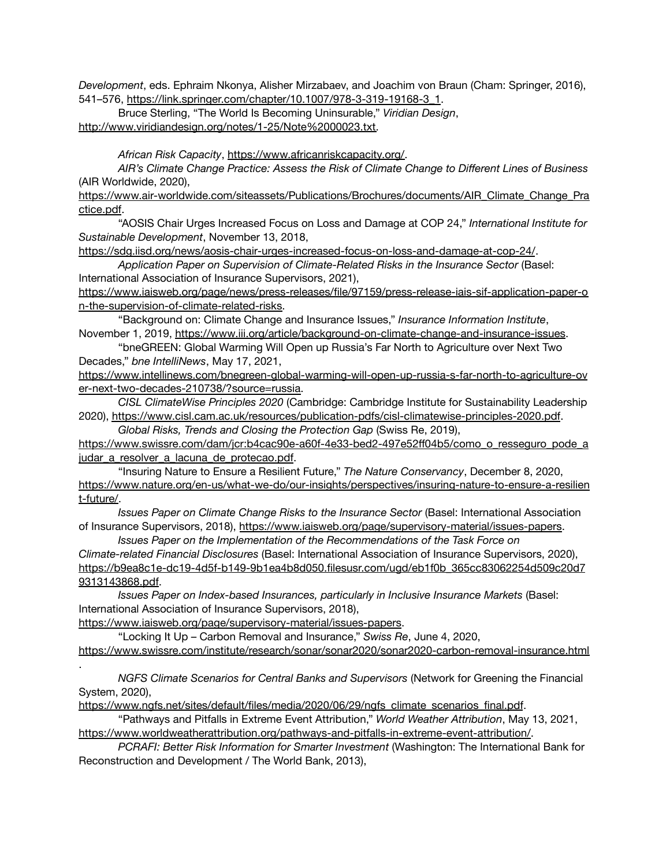*Development*, eds. Ephraim Nkonya, Alisher Mirzabaev, and Joachim von Braun (Cham: Springer, 2016), 541–576, [https://link.springer.com/chapter/10.1007/978-3-319-19168-3\\_1.](https://link.springer.com/chapter/10.1007/978-3-319-19168-3_1)

Bruce Sterling, "The World Is Becoming Uninsurable," *Viridian Design*, [http://www.viridiandesign.org/notes/1-25/Note%2000023.txt.](http://www.viridiandesign.org/notes/1-25/Note%2000023.txt)

*African Risk Capacity*, [https://www.africanriskcapacity.org/.](https://www.africanriskcapacity.org/)

*AIR's Climate Change Practice: Assess the Risk of Climate Change to Different Lines of Business* (AIR Worldwide, 2020),

[https://www.air-worldwide.com/siteassets/Publications/Brochures/documents/AIR\\_Climate\\_Change\\_Pra](https://www.air-worldwide.com/siteassets/Publications/Brochures/documents/AIR_Climate_Change_Practice.pdf) [ctice.pdf](https://www.air-worldwide.com/siteassets/Publications/Brochures/documents/AIR_Climate_Change_Practice.pdf).

"AOSIS Chair Urges Increased Focus on Loss and Damage at COP 24," *International Institute for Sustainable Development*, November 13, 2018,

<https://sdg.iisd.org/news/aosis-chair-urges-increased-focus-on-loss-and-damage-at-cop-24/>.

*Application Paper on Supervision of Climate-Related Risks in the Insurance Sector* (Basel: International Association of Insurance Supervisors, 2021),

[https://www.iaisweb.org/page/news/press-releases/file/97159/press-release-iais-sif-application-paper-o](https://www.iaisweb.org/page/news/press-releases/file/97159/press-release-iais-sif-application-paper-on-the-supervision-of-climate-related-risks) [n-the-supervision-of-climate-related-risks.](https://www.iaisweb.org/page/news/press-releases/file/97159/press-release-iais-sif-application-paper-on-the-supervision-of-climate-related-risks)

"Background on: Climate Change and Insurance Issues," *Insurance Information Institute*, November 1, 2019, <https://www.iii.org/article/background-on-climate-change-and-insurance-issues>.

"bneGREEN: Global Warming Will Open up Russia's Far North to Agriculture over Next Two Decades," *bne IntelliNews*, May 17, 2021,

[https://www.intellinews.com/bnegreen-global-warming-will-open-up-russia-s-far-north-to-agriculture-ov](https://www.intellinews.com/bnegreen-global-warming-will-open-up-russia-s-far-north-to-agriculture-over-next-two-decades-210738/?source=russia) [er-next-two-decades-210738/?source=russia.](https://www.intellinews.com/bnegreen-global-warming-will-open-up-russia-s-far-north-to-agriculture-over-next-two-decades-210738/?source=russia)

*CISL ClimateWise Principles 2020* (Cambridge: Cambridge Institute for Sustainability Leadership 2020), <https://www.cisl.cam.ac.uk/resources/publication-pdfs/cisl-climatewise-principles-2020.pdf>.

*Global Risks, Trends and Closing the Protection Gap* (Swiss Re, 2019),

[https://www.swissre.com/dam/jcr:b4cac90e-a60f-4e33-bed2-497e52ff04b5/como\\_o\\_resseguro\\_pode\\_a](https://www.swissre.com/dam/jcr:b4cac90e-a60f-4e33-bed2-497e52ff04b5/como_o_resseguro_pode_ajudar_a_resolver_a_lacuna_de_protecao.pdf) [judar\\_a\\_resolver\\_a\\_lacuna\\_de\\_protecao.pdf](https://www.swissre.com/dam/jcr:b4cac90e-a60f-4e33-bed2-497e52ff04b5/como_o_resseguro_pode_ajudar_a_resolver_a_lacuna_de_protecao.pdf).

"Insuring Nature to Ensure a Resilient Future," *The Nature Conservancy*, December 8, 2020, [https://www.nature.org/en-us/what-we-do/our-insights/perspectives/insuring-nature-to-ensure-a-resilien](https://www.nature.org/en-us/what-we-do/our-insights/perspectives/insuring-nature-to-ensure-a-resilient-future/) [t-future/](https://www.nature.org/en-us/what-we-do/our-insights/perspectives/insuring-nature-to-ensure-a-resilient-future/).

*Issues Paper on Climate Change Risks to the Insurance Sector* (Basel: International Association of Insurance Supervisors, 2018), [https://www.iaisweb.org/page/supervisory-material/issues-papers.](https://www.iaisweb.org/page/supervisory-material/issues-papers)

*Issues Paper on the Implementation of the Recommendations of the Task Force on Climate-related Financial Disclosures* (Basel: International Association of Insurance Supervisors, 2020), [https://b9ea8c1e-dc19-4d5f-b149-9b1ea4b8d050.filesusr.com/ugd/eb1f0b\\_365cc83062254d509c20d7](https://b9ea8c1e-dc19-4d5f-b149-9b1ea4b8d050.filesusr.com/ugd/eb1f0b_365cc83062254d509c20d79313143868.pdf) [9313143868.pdf](https://b9ea8c1e-dc19-4d5f-b149-9b1ea4b8d050.filesusr.com/ugd/eb1f0b_365cc83062254d509c20d79313143868.pdf).

*Issues Paper on Index-based Insurances, particularly in Inclusive Insurance Markets* (Basel: International Association of Insurance Supervisors, 2018),

<https://www.iaisweb.org/page/supervisory-material/issues-papers>.

.

"Locking It Up – Carbon Removal and Insurance," *Swiss Re*, June 4, 2020,

<https://www.swissre.com/institute/research/sonar/sonar2020/sonar2020-carbon-removal-insurance.html>

*NGFS Climate Scenarios for Central Banks and Supervisors* (Network for Greening the Financial System, 2020),

[https://www.ngfs.net/sites/default/files/media/2020/06/29/ngfs\\_climate\\_scenarios\\_final.pdf](https://www.ngfs.net/sites/default/files/media/2020/06/29/ngfs_climate_scenarios_final.pdf).

"Pathways and Pitfalls in Extreme Event Attribution," *World Weather Attribution*, May 13, 2021, <https://www.worldweatherattribution.org/pathways-and-pitfalls-in-extreme-event-attribution/>.

*PCRAFI: Better Risk Information for Smarter Investment* (Washington: The International Bank for Reconstruction and Development / The World Bank, 2013),